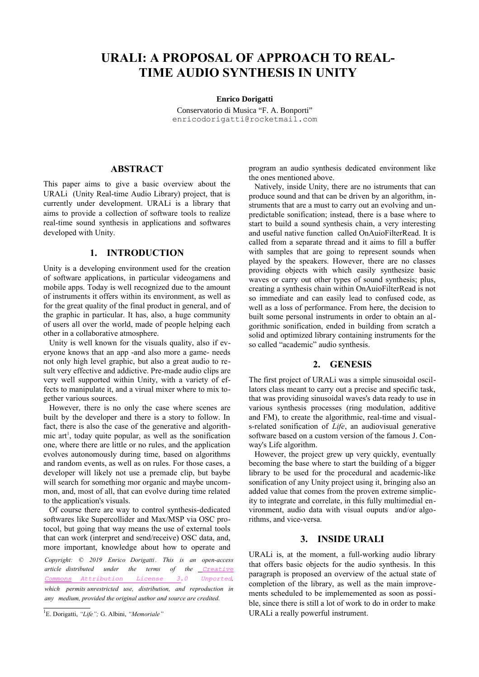# **URALI: A PROPOSAL OF APPROACH TO REAL-TIME AUDIO SYNTHESIS IN UNITY**

**Enrico Dorigatti**

Conservatorio di Musica "F. A. Bonporti" enricodorigatt[i@r](mailto:author2@smcnetwork.org)ocketmail.com

## **ABSTRACT**

This paper aims to give a basic overview about the URALi (Unity Real-time Audio Library) project, that is currently under development. URALi is a library that aims to provide a collection of software tools to realize real-time sound synthesis in applications and softwares developed with Unity.

### **1. INTRODUCTION**

Unity is a developing environment used for the creation of software applications, in particular videogamens and mobile apps. Today is well recognized due to the amount of instruments it offers within its environment, as well as for the great quality of the final product in general, and of the graphic in particular. It has, also, a huge community of users all over the world, made of people helping each other in a collaborative atmosphere.

Unity is well known for the visuals quality, also if everyone knows that an app -and also more a game- needs not only high level graphic, but also a great audio to result very effective and addictive. Pre-made audio clips are very well supported within Unity, with a variety of effects to manipulate it, and a virual mixer where to mix together various sources.

However, there is no only the case where scenes are built by the developer and there is a story to follow. In fact, there is also the case of the generative and algorith-mic art<sup>[1](#page-0-0)</sup>, today quite popular, as well as the sonification one, where there are little or no rules, and the application evolves autonomously during time, based on algorithms and random events, as well as on rules. For those cases, a developer will likely not use a premade clip, but baybe will search for something mor organic and maybe uncommon, and, most of all, that can evolve during time related to the application's visuals.

Of course there are way to control synthesis-dedicated softwares like Supercollider and Max/MSP via OSC protocol, but going that way means the use of external tools that can work (interpret and send/receive) OSC data, and, more important, knowledge about how to operate and

*Copyright: © 2019 Enrico Dorigatti . This is an open-access article distributed under the terms of the [Creative](http://creativecommons.org/licenses/by/3.0/) Commons [Attribution](http://creativecommons.org/licenses/by/3.0/) License 3.0 Unported, which permits unrestricted use, distribution, and reproduction in any medium, provided the original author and source are credited.*

program an audio synthesis dedicated environment like the ones mentioned above.

Natively, inside Unity, there are no istruments that can produce sound and that can be driven by an algorithm, instruments that are a must to carry out an evolving and unpredictable sonification; instead, there is a base where to start to build a sound synthesis chain, a very interesting and useful native function called OnAuioFilterRead. It is called from a separate thread and it aims to fill a buffer with samples that are going to represent sounds when played by the speakers. However, there are no classes providing objects with which easily synthesize basic waves or carry out other types of sound synthesis; plus, creating a synthesis chain within OnAuioFilterRead is not so immediate and can easily lead to confused code, as well as a loss of performance. From here, the decision to built some personal instruments in order to obtain an algorithmic sonification, ended in building from scratch a solid and optimized library containing instruments for the so called "academic" audio synthesis.

#### **2. GENESIS**

The first project of URALi was a simple sinusoidal oscillators class meant to carry out a precise and specific task, that was providing sinusoidal waves's data ready to use in various synthesis processes (ring modulation, additive and FM), to create the algorithmic, real-time and visuals-related sonification of *Life*, an audiovisual generative software based on a custom version of the famous J. Conway's Life algorithm.

However, the project grew up very quickly, eventually becoming the base where to start the building of a bigger library to be used for the procedural and academic-like sonification of any Unity project using it, bringing also an added value that comes from the proven extreme simplicity to integrate and correlate, in this fully multimedial environment, audio data with visual ouputs and/or algorithms, and vice-versa.

#### **3. INSIDE URALI**

URALi is, at the moment, a full-working audio library that offers basic objects for the audio synthesis. In this paragraph is proposed an overview of the actual state of completion of the library, as well as the main improvements scheduled to be implememented as soon as possible, since there is still a lot of work to do in order to make URALi a really powerful instrument.

<span id="page-0-0"></span><sup>1</sup> E. Dorigatti, *"Life";* G. Albini, *"Memoriale"*